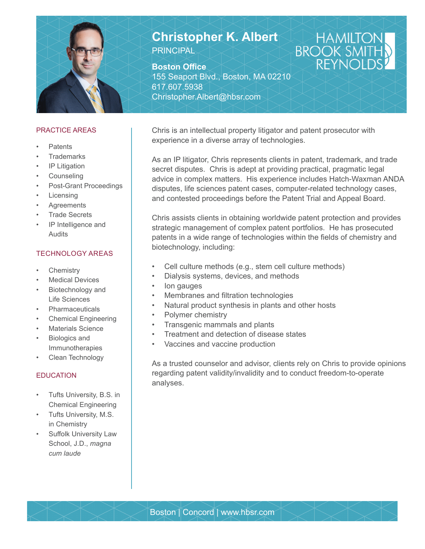

# **Christopher K. Albert** PRINCIPAL

**Boston Office** 155 Seaport Blvd., Boston, MA 02210 617.607.5938 Christopher.Albert@hbsr.com

### PRACTICE AREAS

- Patents
- **Trademarks**
- IP Litigation
- **Counseling**
- Post-Grant Proceedings
- **Licensing**
- **Agreements**
- **Trade Secrets**
- IP Intelligence and Audits

### TECHNOLOGY AREAS

- **Chemistry**
- **Medical Devices**
- Biotechnology and Life Sciences
- **Pharmaceuticals**
- Chemical Engineering
- **Materials Science**
- Biologics and Immunotherapies
- Clean Technology

## EDUCATION

- Tufts University, B.S. in Chemical Engineering
- Tufts University, M.S. in Chemistry
- Suffolk University Law School, J.D., *magna cum laude*

Chris is an intellectual property litigator and patent prosecutor with experience in a diverse array of technologies.

As an IP litigator, Chris represents clients in patent, trademark, and trade secret disputes. Chris is adept at providing practical, pragmatic legal advice in complex matters. His experience includes Hatch-Waxman ANDA disputes, life sciences patent cases, computer-related technology cases, and contested proceedings before the Patent Trial and Appeal Board.

HAMILTO<br>BROOK SMIT

**REYN** 

Chris assists clients in obtaining worldwide patent protection and provides strategic management of complex patent portfolios. He has prosecuted patents in a wide range of technologies within the fields of chemistry and biotechnology, including:

- Cell culture methods (e.g., stem cell culture methods)
- Dialysis systems, devices, and methods
- lon gauges
- Membranes and filtration technologies
- Natural product synthesis in plants and other hosts
- Polymer chemistry
- Transgenic mammals and plants
- Treatment and detection of disease states
- Vaccines and vaccine production

As a trusted counselor and advisor, clients rely on Chris to provide opinions regarding patent validity/invalidity and to conduct freedom-to-operate analyses.